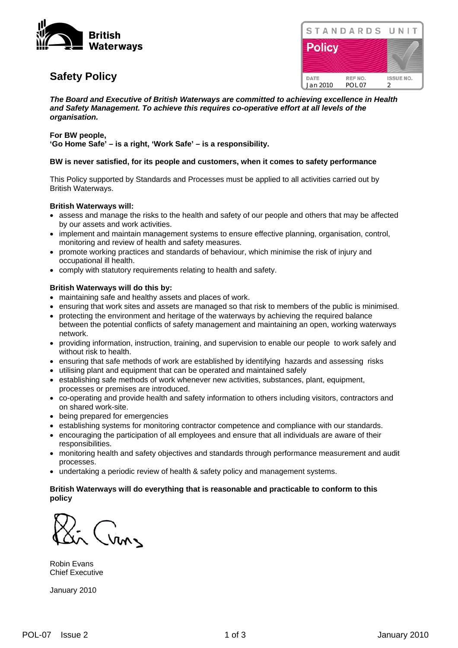

# **Safety Policy**

|               | STANDARDS UNIT |
|---------------|----------------|
| <b>Policy</b> |                |
|               |                |
|               |                |

*The Board and Executive of British Waterways are committed to achieving excellence in Health and Safety Management. To achieve this requires co-operative effort at all levels of the organisation.* 

#### **For BW people,**

**'Go Home Safe' – is a right, 'Work Safe' – is a responsibility.** 

#### **BW is never satisfied, for its people and customers, when it comes to safety performance**

This Policy supported by Standards and Processes must be applied to all activities carried out by British Waterways.

#### **British Waterways will:**

- assess and manage the risks to the health and safety of our people and others that may be affected by our assets and work activities.
- implement and maintain management systems to ensure effective planning, organisation, control, monitoring and review of health and safety measures.
- promote working practices and standards of behaviour, which minimise the risk of injury and occupational ill health.
- comply with statutory requirements relating to health and safety.

#### **British Waterways will do this by:**

- maintaining safe and healthy assets and places of work.
- ensuring that work sites and assets are managed so that risk to members of the public is minimised.
- protecting the environment and heritage of the waterways by achieving the required balance between the potential conflicts of safety management and maintaining an open, working waterways network.
- providing information, instruction, training, and supervision to enable our people to work safely and without risk to health.
- ensuring that safe methods of work are established by identifying hazards and assessing risks
- utilising plant and equipment that can be operated and maintained safely
- establishing safe methods of work whenever new activities, substances, plant, equipment, processes or premises are introduced.
- co-operating and provide health and safety information to others including visitors, contractors and on shared work-site.
- being prepared for emergencies
- establishing systems for monitoring contractor competence and compliance with our standards.
- encouraging the participation of all employees and ensure that all individuals are aware of their responsibilities.
- monitoring health and safety objectives and standards through performance measurement and audit processes.
- undertaking a periodic review of health & safety policy and management systems.

#### **British Waterways will do everything that is reasonable and practicable to conform to this policy**

Cran

Robin Evans Chief Executive

January 2010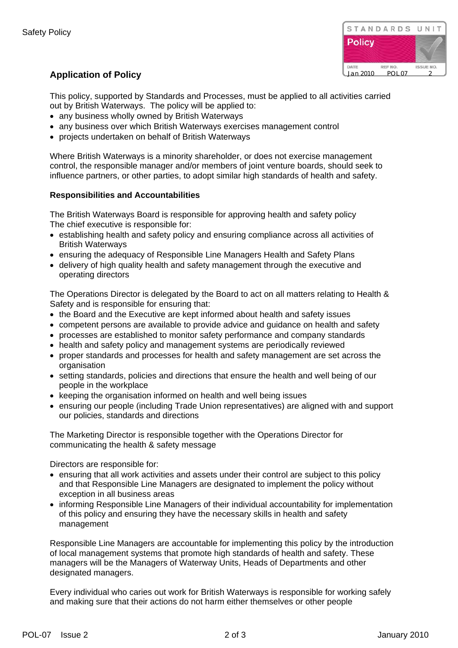

## **Application of Policy Jan 2010** POL 07

This policy, supported by Standards and Processes, must be applied to all activities carried out by British Waterways. The policy will be applied to:

- any business wholly owned by British Waterways
- any business over which British Waterways exercises management control
- projects undertaken on behalf of British Waterways

Where British Waterways is a minority shareholder, or does not exercise management control, the responsible manager and/or members of joint venture boards, should seek to influence partners, or other parties, to adopt similar high standards of health and safety.

### **Responsibilities and Accountabilities**

The British Waterways Board is responsible for approving health and safety policy The chief executive is responsible for:

- establishing health and safety policy and ensuring compliance across all activities of British Waterways
- ensuring the adequacy of Responsible Line Managers Health and Safety Plans
- delivery of high quality health and safety management through the executive and operating directors

The Operations Director is delegated by the Board to act on all matters relating to Health & Safety and is responsible for ensuring that:

- the Board and the Executive are kept informed about health and safety issues
- competent persons are available to provide advice and guidance on health and safety
- processes are established to monitor safety performance and company standards
- health and safety policy and management systems are periodically reviewed
- proper standards and processes for health and safety management are set across the organisation
- setting standards, policies and directions that ensure the health and well being of our people in the workplace
- keeping the organisation informed on health and well being issues
- ensuring our people (including Trade Union representatives) are aligned with and support our policies, standards and directions

The Marketing Director is responsible together with the Operations Director for communicating the health & safety message

Directors are responsible for:

- ensuring that all work activities and assets under their control are subject to this policy and that Responsible Line Managers are designated to implement the policy without exception in all business areas
- informing Responsible Line Managers of their individual accountability for implementation of this policy and ensuring they have the necessary skills in health and safety management

Responsible Line Managers are accountable for implementing this policy by the introduction of local management systems that promote high standards of health and safety. These managers will be the Managers of Waterway Units, Heads of Departments and other designated managers.

Every individual who caries out work for British Waterways is responsible for working safely and making sure that their actions do not harm either themselves or other people